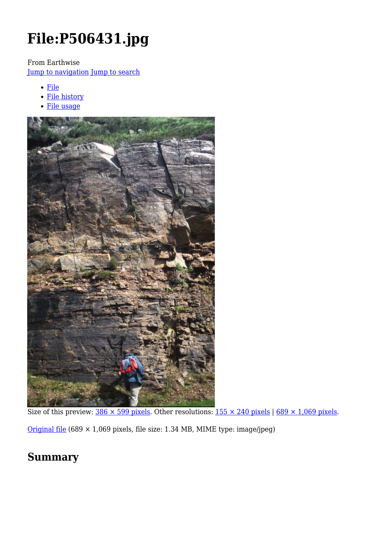# **File:P506431.jpg**

From Earthwise

[Jump to navigation](#page--1-0) [Jump to search](#page--1-0)

- [File](#page--1-0)
- [File history](#page--1-0)
- [File usage](#page--1-0)



Size of this preview:  $386 \times 599$  pixels. Other resolutions:  $155 \times 240$  pixels | 689  $\times$  1,069 pixels.

[Original file](http://earthwise.bgs.ac.uk/images/e/ed/P506431.jpg) (689 × 1,069 pixels, file size: 1.34 MB, MIME type: image/jpeg)

## **Summary**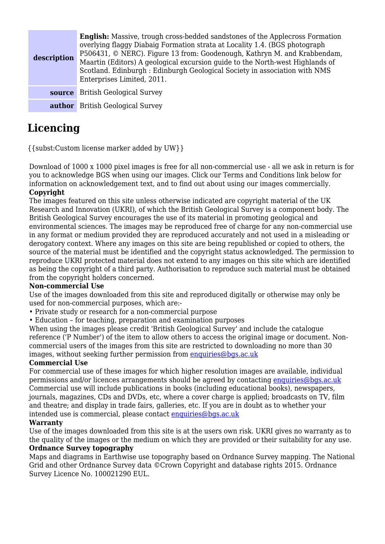| description | <b>English:</b> Massive, trough cross-bedded sandstones of the Applecross Formation<br>overlying flaggy Diabaig Formation strata at Locality 1.4. (BGS photograph<br>P506431, © NERC). Figure 13 from: Goodenough, Kathryn M. and Krabbendam,<br>Maartin (Editors) A geological excursion guide to the North-west Highlands of<br>Scotland. Edinburgh : Edinburgh Geological Society in association with NMS<br>Enterprises Limited, 2011. |
|-------------|--------------------------------------------------------------------------------------------------------------------------------------------------------------------------------------------------------------------------------------------------------------------------------------------------------------------------------------------------------------------------------------------------------------------------------------------|
| source      | <b>British Geological Survey</b>                                                                                                                                                                                                                                                                                                                                                                                                           |
| author      | <b>British Geological Survey</b>                                                                                                                                                                                                                                                                                                                                                                                                           |

## **Licencing**

{{subst:Custom license marker added by UW}}

Download of 1000 x 1000 pixel images is free for all non-commercial use - all we ask in return is for you to acknowledge BGS when using our images. Click our Terms and Conditions link below for information on acknowledgement text, and to find out about using our images commercially. **Copyright**

The images featured on this site unless otherwise indicated are copyright material of the UK Research and Innovation (UKRI), of which the British Geological Survey is a component body. The British Geological Survey encourages the use of its material in promoting geological and environmental sciences. The images may be reproduced free of charge for any non-commercial use in any format or medium provided they are reproduced accurately and not used in a misleading or derogatory context. Where any images on this site are being republished or copied to others, the source of the material must be identified and the copyright status acknowledged. The permission to reproduce UKRI protected material does not extend to any images on this site which are identified as being the copyright of a third party. Authorisation to reproduce such material must be obtained from the copyright holders concerned.

#### **Non-commercial Use**

Use of the images downloaded from this site and reproduced digitally or otherwise may only be used for non-commercial purposes, which are:-

- Private study or research for a non-commercial purpose
- Education for teaching, preparation and examination purposes

When using the images please credit 'British Geological Survey' and include the catalogue reference ('P Number') of the item to allow others to access the original image or document. Noncommercial users of the images from this site are restricted to downloading no more than 30 images, without seeking further permission from [enquiries@bgs.ac.uk](mailto:enquiries@bgs.ac.uk)

#### **Commercial Use**

For commercial use of these images for which higher resolution images are available, individual permissions and/or licences arrangements should be agreed by contacting [enquiries@bgs.ac.uk](mailto:enquiries@bgs.ac.uk) Commercial use will include publications in books (including educational books), newspapers, journals, magazines, CDs and DVDs, etc, where a cover charge is applied; broadcasts on TV, film and theatre; and display in trade fairs, galleries, etc. If you are in doubt as to whether your intended use is commercial, please contact [enquiries@bgs.ac.uk](mailto:enquiries@bgs.ac.uk)

#### **Warranty**

Use of the images downloaded from this site is at the users own risk. UKRI gives no warranty as to the quality of the images or the medium on which they are provided or their suitability for any use. **Ordnance Survey topography**

Maps and diagrams in Earthwise use topography based on Ordnance Survey mapping. The National Grid and other Ordnance Survey data ©Crown Copyright and database rights 2015. Ordnance Survey Licence No. 100021290 EUL.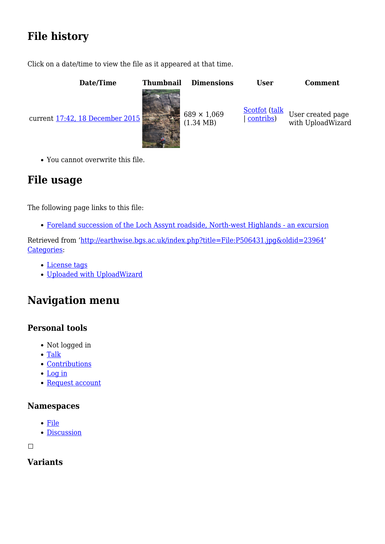## **File history**

Click on a date/time to view the file as it appeared at that time.

| Date/Time                       | <b>Thumbnail</b> | <b>Dimensions</b>                         | <b>User</b>                | <b>Comment</b>                         |
|---------------------------------|------------------|-------------------------------------------|----------------------------|----------------------------------------|
| current 17:42, 18 December 2015 |                  | $689 \times 1,069$<br>$(1.34 \text{ MB})$ | Scotfot (talk<br>contribs) | User created page<br>with UploadWizard |

You cannot overwrite this file.

## **File usage**

The following page links to this file:

[Foreland succession of the Loch Assynt roadside, North-west Highlands - an excursion](http://earthwise.bgs.ac.uk/index.php/Foreland_succession_of_the_Loch_Assynt_roadside,_North-west_Highlands_-_an_excursion)

Retrieved from ['http://earthwise.bgs.ac.uk/index.php?title=File:P506431.jpg&oldid=23964](http://earthwise.bgs.ac.uk/index.php?title=File:P506431.jpg&oldid=23964)' [Categories:](http://earthwise.bgs.ac.uk/index.php/Special:Categories)

- [License tags](http://earthwise.bgs.ac.uk/index.php/Category:License_tags)
- [Uploaded with UploadWizard](http://earthwise.bgs.ac.uk/index.php/Category:Uploaded_with_UploadWizard)

## **Navigation menu**

## **Personal tools**

- Not logged in
- [Talk](http://earthwise.bgs.ac.uk/index.php/Special:MyTalk)
- [Contributions](http://earthwise.bgs.ac.uk/index.php/Special:MyContributions)
- [Log in](http://earthwise.bgs.ac.uk/index.php?title=Special:UserLogin&returnto=File%3AP506431.jpg&returntoquery=action%3Dmpdf)
- [Request account](http://earthwise.bgs.ac.uk/index.php/Special:RequestAccount)

## **Namespaces**

- [File](http://earthwise.bgs.ac.uk/index.php/File:P506431.jpg)
- [Discussion](http://earthwise.bgs.ac.uk/index.php?title=File_talk:P506431.jpg&action=edit&redlink=1)

 $\Box$ 

## **Variants**